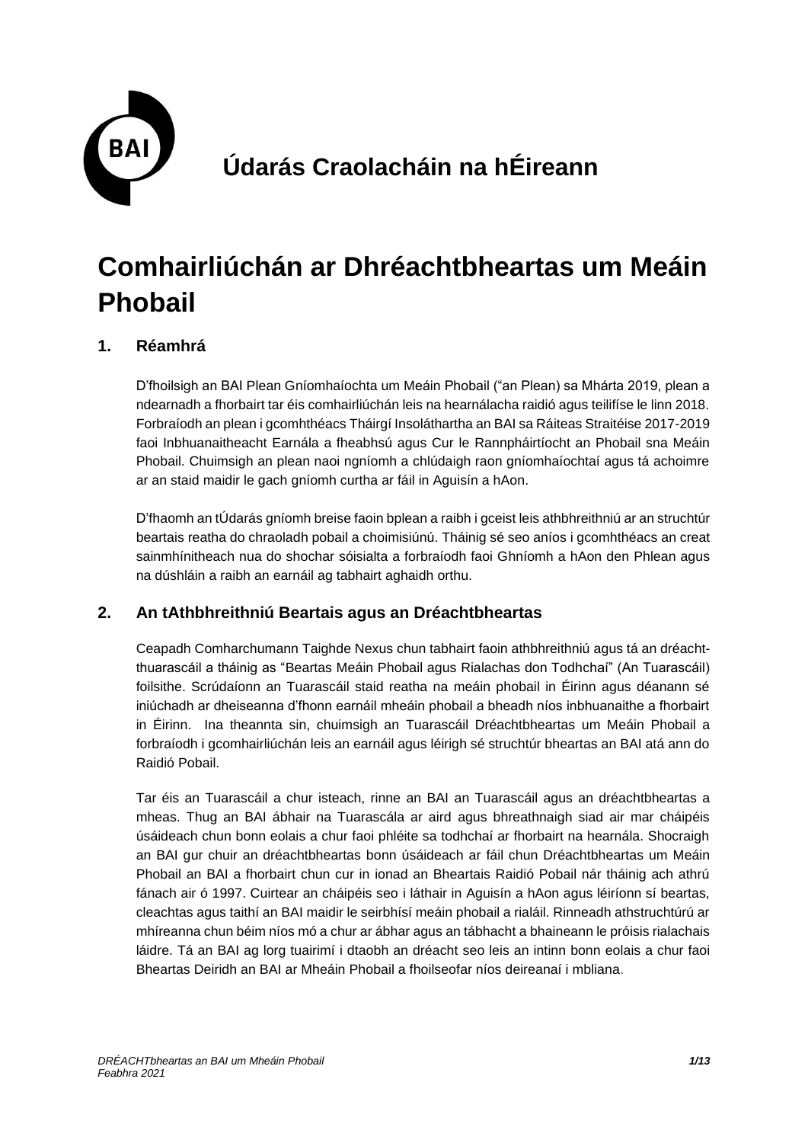

# **Comhairliúchán ar Dhréachtbheartas um Meáin Phobail**

#### **1. Réamhrá**

D'fhoilsigh an BAI Plean Gníomhaíochta um Meáin Phobail ("an Plean) sa Mhárta 2019, plean a ndearnadh a fhorbairt tar éis comhairliúchán leis na hearnálacha raidió agus teilifíse le linn 2018. Forbraíodh an plean i gcomhthéacs Tháirgí Insoláthartha an BAI sa Ráiteas Straitéise 2017-2019 faoi Inbhuanaitheacht Earnála a fheabhsú agus Cur le Rannpháirtíocht an Phobail sna Meáin Phobail. Chuimsigh an plean naoi ngníomh a chlúdaigh raon gníomhaíochtaí agus tá achoimre ar an staid maidir le gach gníomh curtha ar fáil in Aguisín a hAon.

D'fhaomh an tÚdarás gníomh breise faoin bplean a raibh i gceist leis athbhreithniú ar an struchtúr beartais reatha do chraoladh pobail a choimisiúnú. Tháinig sé seo aníos i gcomhthéacs an creat sainmhínitheach nua do shochar sóisialta a forbraíodh faoi Ghníomh a hAon den Phlean agus na dúshláin a raibh an earnáil ag tabhairt aghaidh orthu.

#### **2. An tAthbhreithniú Beartais agus an Dréachtbheartas**

Ceapadh Comharchumann Taighde Nexus chun tabhairt faoin athbhreithniú agus tá an dréachtthuarascáil a tháinig as "Beartas Meáin Phobail agus Rialachas don Todhchaí" (An Tuarascáil) foilsithe. Scrúdaíonn an Tuarascáil staid reatha na meáin phobail in Éirinn agus déanann sé iniúchadh ar dheiseanna d'fhonn earnáil mheáin phobail a bheadh níos inbhuanaithe a fhorbairt in Éirinn. Ina theannta sin, chuimsigh an Tuarascáil Dréachtbheartas um Meáin Phobail a forbraíodh i gcomhairliúchán leis an earnáil agus léirigh sé struchtúr bheartas an BAI atá ann do Raidió Pobail.

Tar éis an Tuarascáil a chur isteach, rinne an BAI an Tuarascáil agus an dréachtbheartas a mheas. Thug an BAI ábhair na Tuarascála ar aird agus bhreathnaigh siad air mar cháipéis úsáideach chun bonn eolais a chur faoi phléite sa todhchaí ar fhorbairt na hearnála. Shocraigh an BAI gur chuir an dréachtbheartas bonn úsáideach ar fáil chun Dréachtbheartas um Meáin Phobail an BAI a fhorbairt chun cur in ionad an Bheartais Raidió Pobail nár tháinig ach athrú fánach air ó 1997. Cuirtear an cháipéis seo i láthair in Aguisín a hAon agus léiríonn sí beartas, cleachtas agus taithí an BAI maidir le seirbhísí meáin phobail a rialáil. Rinneadh athstruchtúrú ar mhíreanna chun béim níos mó a chur ar ábhar agus an tábhacht a bhaineann le próisis rialachais láidre. Tá an BAI ag lorg tuairimí i dtaobh an dréacht seo leis an intinn bonn eolais a chur faoi Bheartas Deiridh an BAI ar Mheáin Phobail a fhoilseofar níos deireanaí i mbliana.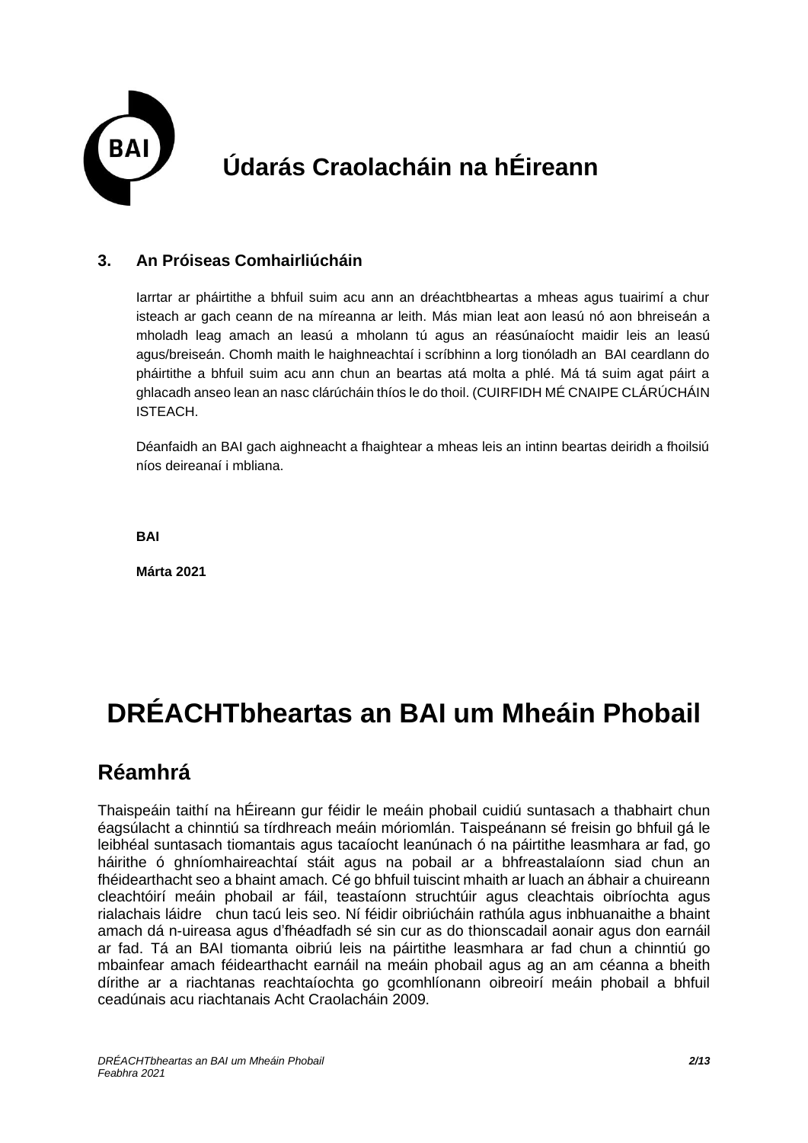

#### **3. An Próiseas Comhairliúcháin**

Iarrtar ar pháirtithe a bhfuil suim acu ann an dréachtbheartas a mheas agus tuairimí a chur isteach ar gach ceann de na míreanna ar leith. Más mian leat aon leasú nó aon bhreiseán a mholadh leag amach an leasú a mholann tú agus an réasúnaíocht maidir leis an leasú agus/breiseán. Chomh maith le haighneachtaí i scríbhinn a lorg tionóladh an BAI ceardlann do pháirtithe a bhfuil suim acu ann chun an beartas atá molta a phlé. Má tá suim agat páirt a ghlacadh anseo lean an nasc clárúcháin thíos le do thoil. (CUIRFIDH MÉ CNAIPE CLÁRÚCHÁIN **ISTEACH** 

Déanfaidh an BAI gach aighneacht a fhaightear a mheas leis an intinn beartas deiridh a fhoilsiú níos deireanaí i mbliana.

**BAI** 

**Márta 2021**

# **DRÉACHTbheartas an BAI um Mheáin Phobail**

#### **Réamhrá**

Thaispeáin taithí na hÉireann gur féidir le meáin phobail cuidiú suntasach a thabhairt chun éagsúlacht a chinntiú sa tírdhreach meáin móriomlán. Taispeánann sé freisin go bhfuil gá le leibhéal suntasach tiomantais agus tacaíocht leanúnach ó na páirtithe leasmhara ar fad, go háirithe ó ghníomhaireachtaí stáit agus na pobail ar a bhfreastalaíonn siad chun an fhéidearthacht seo a bhaint amach. Cé go bhfuil tuiscint mhaith ar luach an ábhair a chuireann cleachtóirí meáin phobail ar fáil, teastaíonn struchtúir agus cleachtais oibríochta agus rialachais láidre chun tacú leis seo. Ní féidir oibriúcháin rathúla agus inbhuanaithe a bhaint amach dá n-uireasa agus d'fhéadfadh sé sin cur as do thionscadail aonair agus don earnáil ar fad. Tá an BAI tiomanta oibriú leis na páirtithe leasmhara ar fad chun a chinntiú go mbainfear amach féidearthacht earnáil na meáin phobail agus ag an am céanna a bheith dírithe ar a riachtanas reachtaíochta go gcomhlíonann oibreoirí meáin phobail a bhfuil ceadúnais acu riachtanais Acht Craolacháin 2009.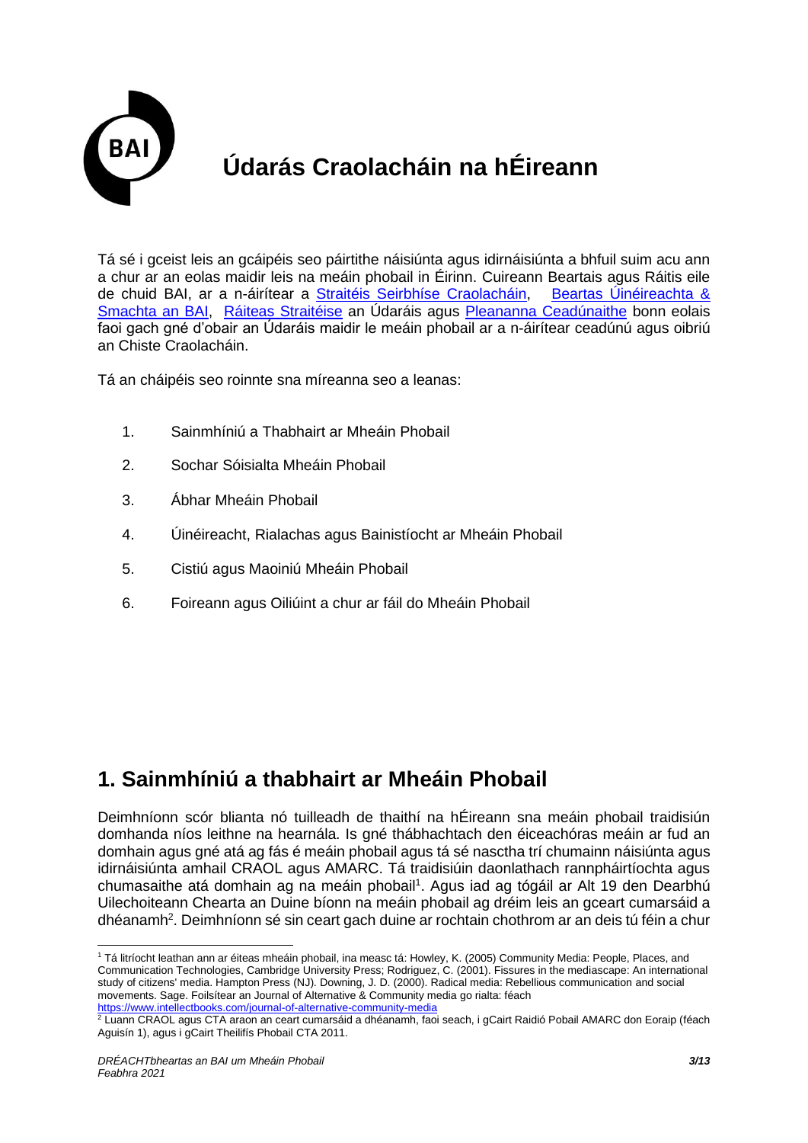

Tá sé i gceist leis an gcáipéis seo páirtithe náisiúnta agus idirnáisiúnta a bhfuil suim acu ann a chur ar an eolas maidir leis na meáin phobail in Éirinn. Cuireann Beartais agus Ráitis eile de chuid BAI, ar a n-áirítear a Straitéis Seirbhíse Craolacháin, Beartas Úinéireachta & Smachta an BAI, Ráiteas Straitéise an Údaráis agus Pleananna Ceadúnaithe bonn eolais faoi gach gné d'obair an Údaráis maidir le meáin phobail ar a n-áirítear ceadúnú agus oibriú an Chiste Craolacháin.

Tá an cháipéis seo roinnte sna míreanna seo a leanas:

- 1. Sainmhíniú a Thabhairt ar Mheáin Phobail
- 2. Sochar Sóisialta Mheáin Phobail
- 3. Ábhar Mheáin Phobail
- 4. Úinéireacht, Rialachas agus Bainistíocht ar Mheáin Phobail
- 5. Cistiú agus Maoiniú Mheáin Phobail
- 6. Foireann agus Oiliúint a chur ar fáil do Mheáin Phobail

#### **1. Sainmhíniú a thabhairt ar Mheáin Phobail**

Deimhníonn scór blianta nó tuilleadh de thaithí na hÉireann sna meáin phobail traidisiún domhanda níos leithne na hearnála. Is gné thábhachtach den éiceachóras meáin ar fud an domhain agus gné atá ag fás é meáin phobail agus tá sé nasctha trí chumainn náisiúnta agus idirnáisiúnta amhail CRAOL agus AMARC. Tá traidisiúin daonlathach rannpháirtíochta agus chumasaithe atá domhain ag na meáin phobail<sup>1</sup>. Agus iad ag tógáil ar Alt 19 den Dearbhú Uilechoiteann Chearta an Duine bíonn na meáin phobail ag dréim leis an gceart cumarsáid a dhéanamh<sup>2</sup>. Deimhníonn sé sin ceart gach duine ar rochtain chothrom ar an deis tú féin a chur

<sup>1</sup> Tá litríocht leathan ann ar éiteas mheáin phobail, ina measc tá: Howley, K. (2005) Community Media: People, Places, and Communication Technologies, Cambridge University Press; Rodriguez, C. (2001). Fissures in the mediascape: An international study of citizens' media. Hampton Press (NJ). Downing, J. D. (2000). Radical media: Rebellious communication and social movements. Sage. Foilsítear an Journal of Alternative & Community media go rialta: féach <https://www.intellectbooks.com/journal-of-alternative-community-media>

<sup>&</sup>lt;sup>2</sup> Luann CRAOL agus CTA araon an ceart cumarsáid a dhéanamh, faoi seach, i gCairt Raidió Pobail AMARC don Eoraip (féach Aguisín 1), agus i gCairt Theilifís Phobail CTA 2011.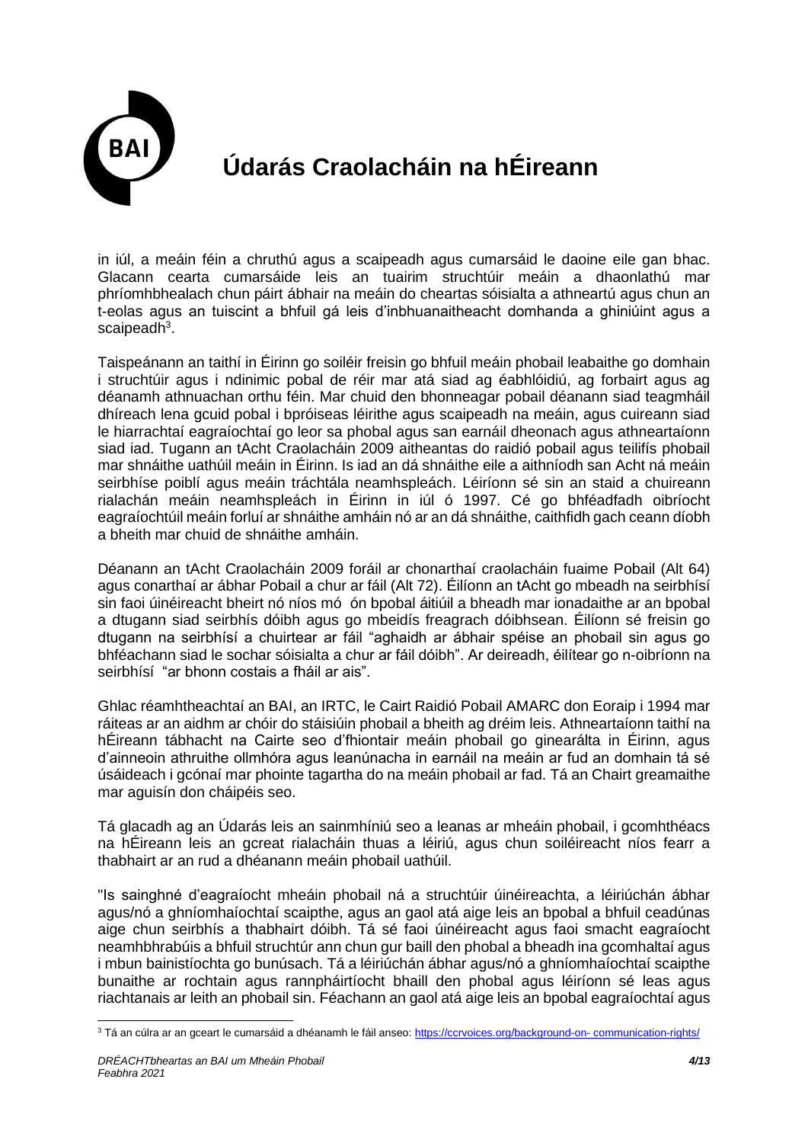

in iúl, a meáin féin a chruthú agus a scaipeadh agus cumarsáid le daoine eile gan bhac. Glacann cearta cumarsáide leis an tuairim struchtúir meáin a dhaonlathú mar phríomhbhealach chun páirt ábhair na meáin do cheartas sóisialta a athneartú agus chun an t-eolas agus an tuiscint a bhfuil gá leis d'inbhuanaitheacht domhanda a ghiniúint agus a scaipeadh<sup>3</sup>.

Taispeánann an taithí in Éirinn go soiléir freisin go bhfuil meáin phobail leabaithe go domhain i struchtúir agus i ndinimic pobal de réir mar atá siad ag éabhlóidiú, ag forbairt agus ag déanamh athnuachan orthu féin. Mar chuid den bhonneagar pobail déanann siad teagmháil dhíreach lena gcuid pobal i bpróiseas léirithe agus scaipeadh na meáin, agus cuireann siad le hiarrachtaí eagraíochtaí go leor sa phobal agus san earnáil dheonach agus athneartaíonn siad iad. Tugann an tAcht Craolacháin 2009 aitheantas do raidió pobail agus teilifís phobail mar shnáithe uathúil meáin in Éirinn. Is iad an dá shnáithe eile a aithníodh san Acht ná meáin seirbhíse poiblí agus meáin tráchtála neamhspleách. Léiríonn sé sin an staid a chuireann rialachán meáin neamhspleách in Éirinn in iúl ó 1997. Cé go bhféadfadh oibríocht eagraíochtúil meáin forluí ar shnáithe amháin nó ar an dá shnáithe, caithfidh gach ceann díobh a bheith mar chuid de shnáithe amháin.

Déanann an tAcht Craolacháin 2009 foráil ar chonarthaí craolacháin fuaime Pobail (Alt 64) agus conarthaí ar ábhar Pobail a chur ar fáil (Alt 72). Éilíonn an tAcht go mbeadh na seirbhísí sin faoi úinéireacht bheirt nó níos mó ón bpobal áitiúil a bheadh mar ionadaithe ar an bpobal a dtugann siad seirbhís dóibh agus go mbeidís freagrach dóibhsean. Éilíonn sé freisin go dtugann na seirbhísí a chuirtear ar fáil "aghaidh ar ábhair spéise an phobail sin agus go bhféachann siad le sochar sóisialta a chur ar fáil dóibh". Ar deireadh, éilítear go n-oibríonn na seirbhísí "ar bhonn costais a fháil ar ais".

Ghlac réamhtheachtaí an BAI, an IRTC, le Cairt Raidió Pobail AMARC don Eoraip i 1994 mar ráiteas ar an aidhm ar chóir do stáisiúin phobail a bheith ag dréim leis. Athneartaíonn taithí na hÉireann tábhacht na Cairte seo d'fhiontair meáin phobail go ginearálta in Éirinn, agus d'ainneoin athruithe ollmhóra agus leanúnacha in earnáil na meáin ar fud an domhain tá sé úsáideach i gcónaí mar phointe tagartha do na meáin phobail ar fad. Tá an Chairt greamaithe mar aguisín don cháipéis seo.

Tá glacadh ag an Údarás leis an sainmhíniú seo a leanas ar mheáin phobail, i gcomhthéacs na hÉireann leis an gcreat rialacháin thuas a léiriú, agus chun soiléireacht níos fearr a thabhairt ar an rud a dhéanann meáin phobail uathúil.

"Is sainghné d'eagraíocht mheáin phobail ná a struchtúir úinéireachta, a léiriúchán ábhar agus/nó a ghníomhaíochtaí scaipthe, agus an gaol atá aige leis an bpobal a bhfuil ceadúnas aige chun seirbhís a thabhairt dóibh. Tá sé faoi úinéireacht agus faoi smacht eagraíocht neamhbhrabúis a bhfuil struchtúr ann chun gur baill den phobal a bheadh ina gcomhaltaí agus i mbun bainistíochta go bunúsach. Tá a léiriúchán ábhar agus/nó a ghníomhaíochtaí scaipthe bunaithe ar rochtain agus rannpháirtíocht bhaill den phobal agus léiríonn sé leas agus riachtanais ar leith an phobail sin. Féachann an gaol atá aige leis an bpobal eagraíochtaí agus

<sup>3</sup> Tá an cúlra ar an gceart le cumarsáid a dhéanamh le fáil anseo[: https://ccrvoices.org/background-on-](https://ccrvoices.org/background-on-%20communication-rights/) communication-rights/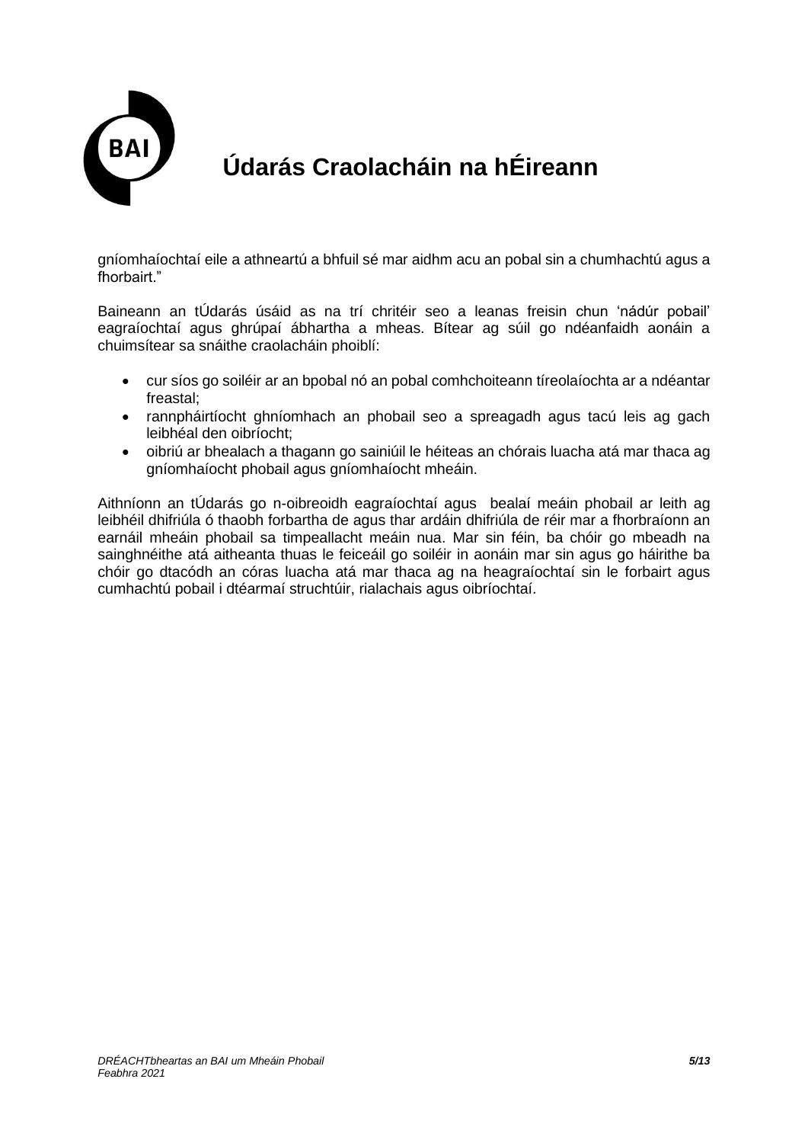

gníomhaíochtaí eile a athneartú a bhfuil sé mar aidhm acu an pobal sin a chumhachtú agus a fhorbairt."

Baineann an tÚdarás úsáid as na trí chritéir seo a leanas freisin chun 'nádúr pobail' eagraíochtaí agus ghrúpaí ábhartha a mheas. Bítear ag súil go ndéanfaidh aonáin a chuimsítear sa snáithe craolacháin phoiblí:

- cur síos go soiléir ar an bpobal nó an pobal comhchoiteann tíreolaíochta ar a ndéantar freastal;
- rannpháirtíocht ghníomhach an phobail seo a spreagadh agus tacú leis ag gach leibhéal den oibríocht;
- oibriú ar bhealach a thagann go sainiúil le héiteas an chórais luacha atá mar thaca ag gníomhaíocht phobail agus gníomhaíocht mheáin.

Aithníonn an tÚdarás go n-oibreoidh eagraíochtaí agus bealaí meáin phobail ar leith ag leibhéil dhifriúla ó thaobh forbartha de agus thar ardáin dhifriúla de réir mar a fhorbraíonn an earnáil mheáin phobail sa timpeallacht meáin nua. Mar sin féin, ba chóir go mbeadh na sainghnéithe atá aitheanta thuas le feiceáil go soiléir in aonáin mar sin agus go háirithe ba chóir go dtacódh an córas luacha atá mar thaca ag na heagraíochtaí sin le forbairt agus cumhachtú pobail i dtéarmaí struchtúir, rialachais agus oibríochtaí.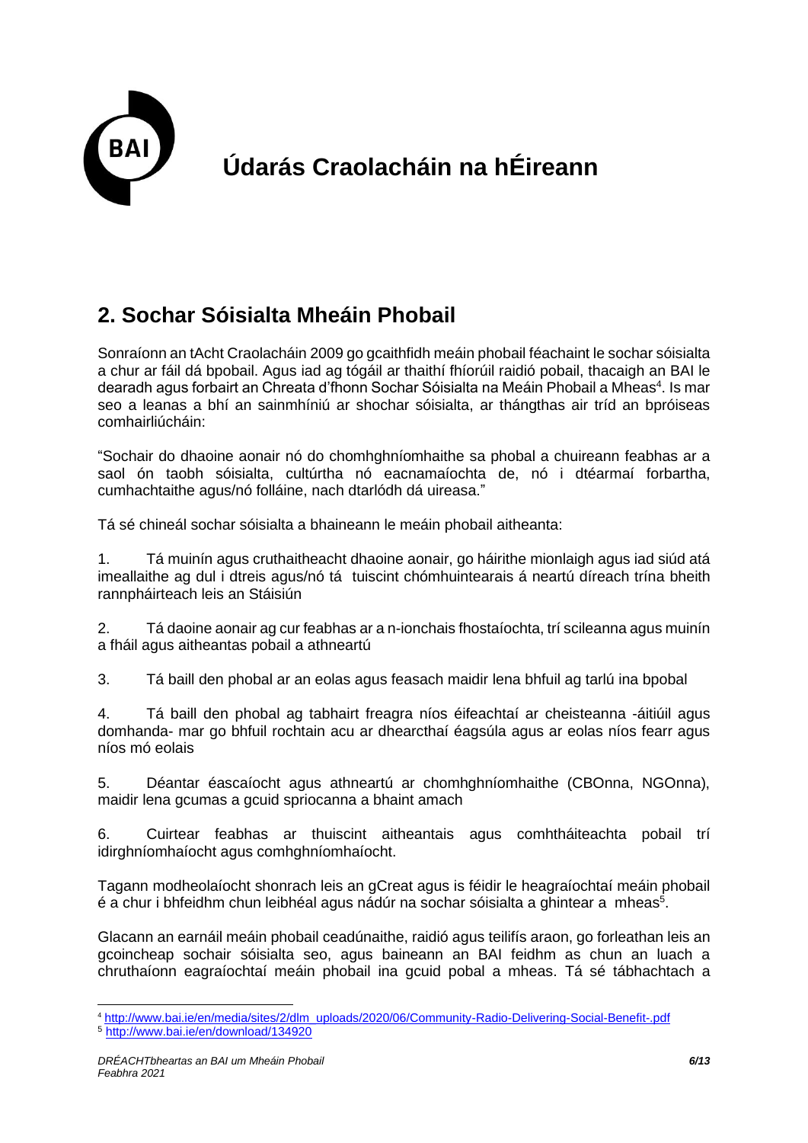

### **2. Sochar Sóisialta Mheáin Phobail**

Sonraíonn an tAcht Craolacháin 2009 go gcaithfidh meáin phobail féachaint le sochar sóisialta a chur ar fáil dá bpobail. Agus iad ag tógáil ar thaithí fhíorúil raidió pobail, thacaigh an BAI le dearadh agus forbairt an Chreata d'fhonn Sochar Sóisialta na Meáin Phobail a Mheas<sup>4</sup>. Is mar seo a leanas a bhí an sainmhíniú ar shochar sóisialta, ar thángthas air tríd an bpróiseas comhairliúcháin:

"Sochair do dhaoine aonair nó do chomhghníomhaithe sa phobal a chuireann feabhas ar a saol ón taobh sóisialta, cultúrtha nó eacnamaíochta de, nó i dtéarmaí forbartha, cumhachtaithe agus/nó folláine, nach dtarlódh dá uireasa."

Tá sé chineál sochar sóisialta a bhaineann le meáin phobail aitheanta:

1. Tá muinín agus cruthaitheacht dhaoine aonair, go háirithe mionlaigh agus iad siúd atá imeallaithe ag dul i dtreis agus/nó tá tuiscint chómhuintearais á neartú díreach trína bheith rannpháirteach leis an Stáisiún

2. Tá daoine aonair ag cur feabhas ar a n-ionchais fhostaíochta, trí scileanna agus muinín a fháil agus aitheantas pobail a athneartú

3. Tá baill den phobal ar an eolas agus feasach maidir lena bhfuil ag tarlú ina bpobal

4. Tá baill den phobal ag tabhairt freagra níos éifeachtaí ar cheisteanna -áitiúil agus domhanda- mar go bhfuil rochtain acu ar dhearcthaí éagsúla agus ar eolas níos fearr agus níos mó eolais

5. Déantar éascaíocht agus athneartú ar chomhghníomhaithe (CBOnna, NGOnna), maidir lena gcumas a gcuid spriocanna a bhaint amach

6. Cuirtear feabhas ar thuiscint aitheantais agus comhtháiteachta pobail trí idirghníomhaíocht agus comhghníomhaíocht.

Tagann modheolaíocht shonrach leis an gCreat agus is féidir le heagraíochtaí meáin phobail é a chur i bhfeidhm chun leibhéal agus nádúr na sochar sóisialta a ghintear a mheas<sup>5</sup>.

Glacann an earnáil meáin phobail ceadúnaithe, raidió agus teilifís araon, go forleathan leis an gcoincheap sochair sóisialta seo, agus baineann an BAI feidhm as chun an luach a chruthaíonn eagraíochtaí meáin phobail ina gcuid pobal a mheas. Tá sé tábhachtach a

<sup>4</sup> [http://www.bai.ie/en/media/sites/2/dlm\\_uploads/2020/06/Community-Radio-Delivering-Social-Benefit-.pdf](http://www.bai.ie/en/media/sites/2/dlm_uploads/2020/06/Community-Radio-Delivering-Social-Benefit-.pdf) 

<sup>5</sup> <http://www.bai.ie/en/download/134920>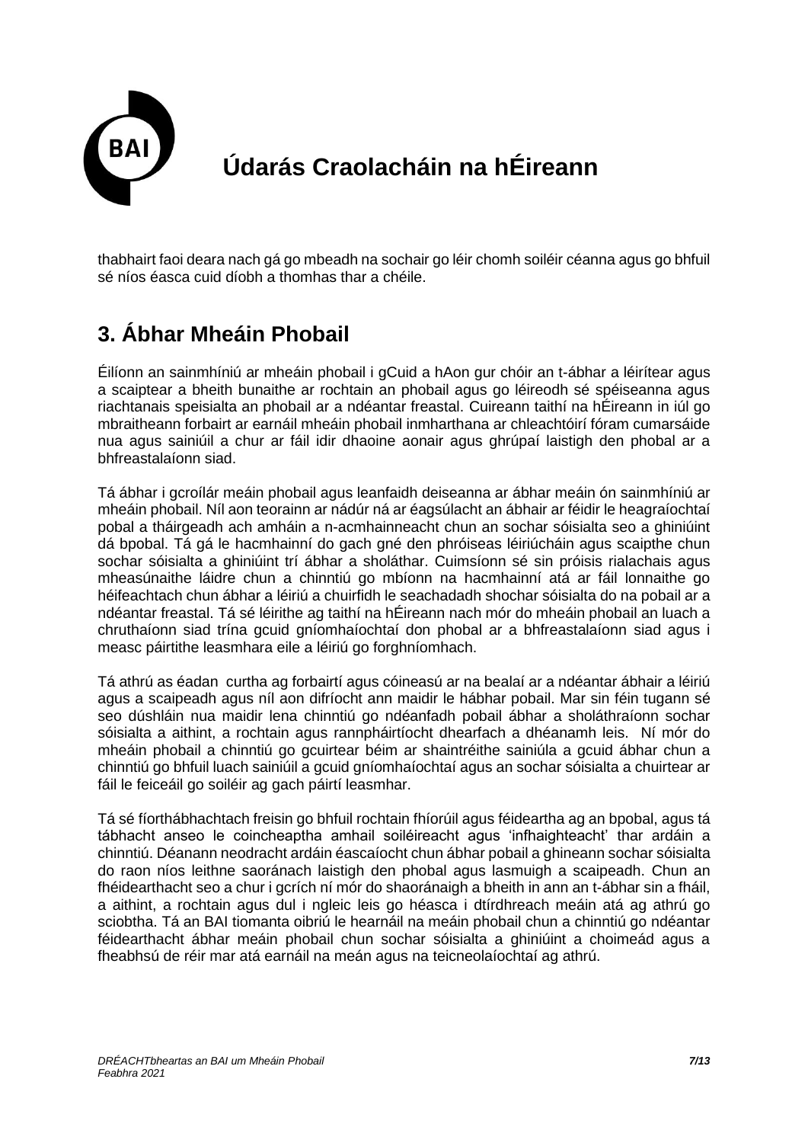

thabhairt faoi deara nach gá go mbeadh na sochair go léir chomh soiléir céanna agus go bhfuil sé níos éasca cuid díobh a thomhas thar a chéile.

### **3. Ábhar Mheáin Phobail**

Éilíonn an sainmhíniú ar mheáin phobail i gCuid a hAon gur chóir an t-ábhar a léirítear agus a scaiptear a bheith bunaithe ar rochtain an phobail agus go léireodh sé spéiseanna agus riachtanais speisialta an phobail ar a ndéantar freastal. Cuireann taithí na hÉireann in iúl go mbraitheann forbairt ar earnáil mheáin phobail inmharthana ar chleachtóirí fóram cumarsáide nua agus sainiúil a chur ar fáil idir dhaoine aonair agus ghrúpaí laistigh den phobal ar a bhfreastalaíonn siad.

Tá ábhar i gcroílár meáin phobail agus leanfaidh deiseanna ar ábhar meáin ón sainmhíniú ar mheáin phobail. Níl aon teorainn ar nádúr ná ar éagsúlacht an ábhair ar féidir le heagraíochtaí pobal a tháirgeadh ach amháin a n-acmhainneacht chun an sochar sóisialta seo a ghiniúint dá bpobal. Tá gá le hacmhainní do gach gné den phróiseas léiriúcháin agus scaipthe chun sochar sóisialta a ghiniúint trí ábhar a sholáthar. Cuimsíonn sé sin próisis rialachais agus mheasúnaithe láidre chun a chinntiú go mbíonn na hacmhainní atá ar fáil lonnaithe go héifeachtach chun ábhar a léiriú a chuirfidh le seachadadh shochar sóisialta do na pobail ar a ndéantar freastal. Tá sé léirithe ag taithí na hÉireann nach mór do mheáin phobail an luach a chruthaíonn siad trína gcuid gníomhaíochtaí don phobal ar a bhfreastalaíonn siad agus i measc páirtithe leasmhara eile a léiriú go forghníomhach.

Tá athrú as éadan curtha ag forbairtí agus cóineasú ar na bealaí ar a ndéantar ábhair a léiriú agus a scaipeadh agus níl aon difríocht ann maidir le hábhar pobail. Mar sin féin tugann sé seo dúshláin nua maidir lena chinntiú go ndéanfadh pobail ábhar a sholáthraíonn sochar sóisialta a aithint, a rochtain agus rannpháirtíocht dhearfach a dhéanamh leis. Ní mór do mheáin phobail a chinntiú go gcuirtear béim ar shaintréithe sainiúla a gcuid ábhar chun a chinntiú go bhfuil luach sainiúil a gcuid gníomhaíochtaí agus an sochar sóisialta a chuirtear ar fáil le feiceáil go soiléir ag gach páirtí leasmhar.

Tá sé fíorthábhachtach freisin go bhfuil rochtain fhíorúil agus féideartha ag an bpobal, agus tá tábhacht anseo le coincheaptha amhail soiléireacht agus 'infhaighteacht' thar ardáin a chinntiú. Déanann neodracht ardáin éascaíocht chun ábhar pobail a ghineann sochar sóisialta do raon níos leithne saoránach laistigh den phobal agus lasmuigh a scaipeadh. Chun an fhéidearthacht seo a chur i gcrích ní mór do shaoránaigh a bheith in ann an t-ábhar sin a fháil, a aithint, a rochtain agus dul i ngleic leis go héasca i dtírdhreach meáin atá ag athrú go sciobtha. Tá an BAI tiomanta oibriú le hearnáil na meáin phobail chun a chinntiú go ndéantar féidearthacht ábhar meáin phobail chun sochar sóisialta a ghiniúint a choimeád agus a fheabhsú de réir mar atá earnáil na meán agus na teicneolaíochtaí ag athrú.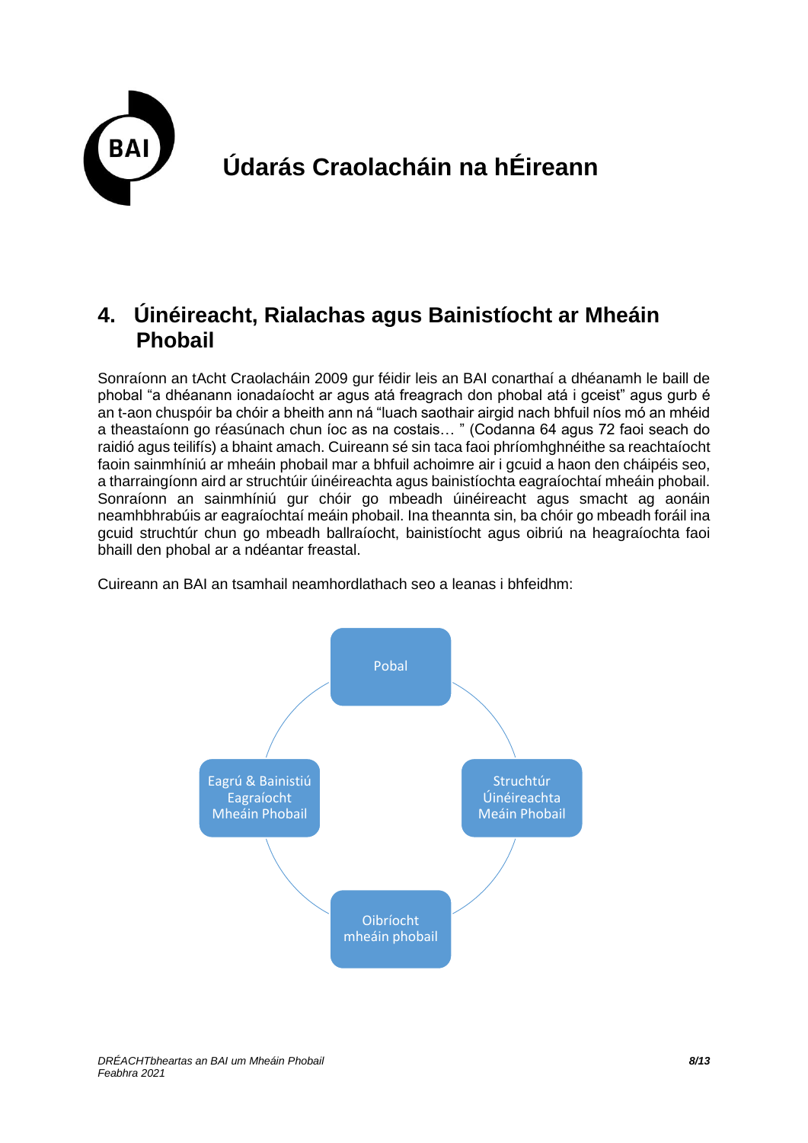

#### **4. Úinéireacht, Rialachas agus Bainistíocht ar Mheáin Phobail**

Sonraíonn an tAcht Craolacháin 2009 gur féidir leis an BAI conarthaí a dhéanamh le baill de phobal "a dhéanann ionadaíocht ar agus atá freagrach don phobal atá i gceist" agus gurb é an t-aon chuspóir ba chóir a bheith ann ná "luach saothair airgid nach bhfuil níos mó an mhéid a theastaíonn go réasúnach chun íoc as na costais… " (Codanna 64 agus 72 faoi seach do raidió agus teilifís) a bhaint amach. Cuireann sé sin taca faoi phríomhghnéithe sa reachtaíocht faoin sainmhíniú ar mheáin phobail mar a bhfuil achoimre air i gcuid a haon den cháipéis seo, a tharraingíonn aird ar struchtúir úinéireachta agus bainistíochta eagraíochtaí mheáin phobail. Sonraíonn an sainmhíniú gur chóir go mbeadh úinéireacht agus smacht ag aonáin neamhbhrabúis ar eagraíochtaí meáin phobail. Ina theannta sin, ba chóir go mbeadh foráil ina gcuid struchtúr chun go mbeadh ballraíocht, bainistíocht agus oibriú na heagraíochta faoi bhaill den phobal ar a ndéantar freastal.

Cuireann an BAI an tsamhail neamhordlathach seo a leanas i bhfeidhm:

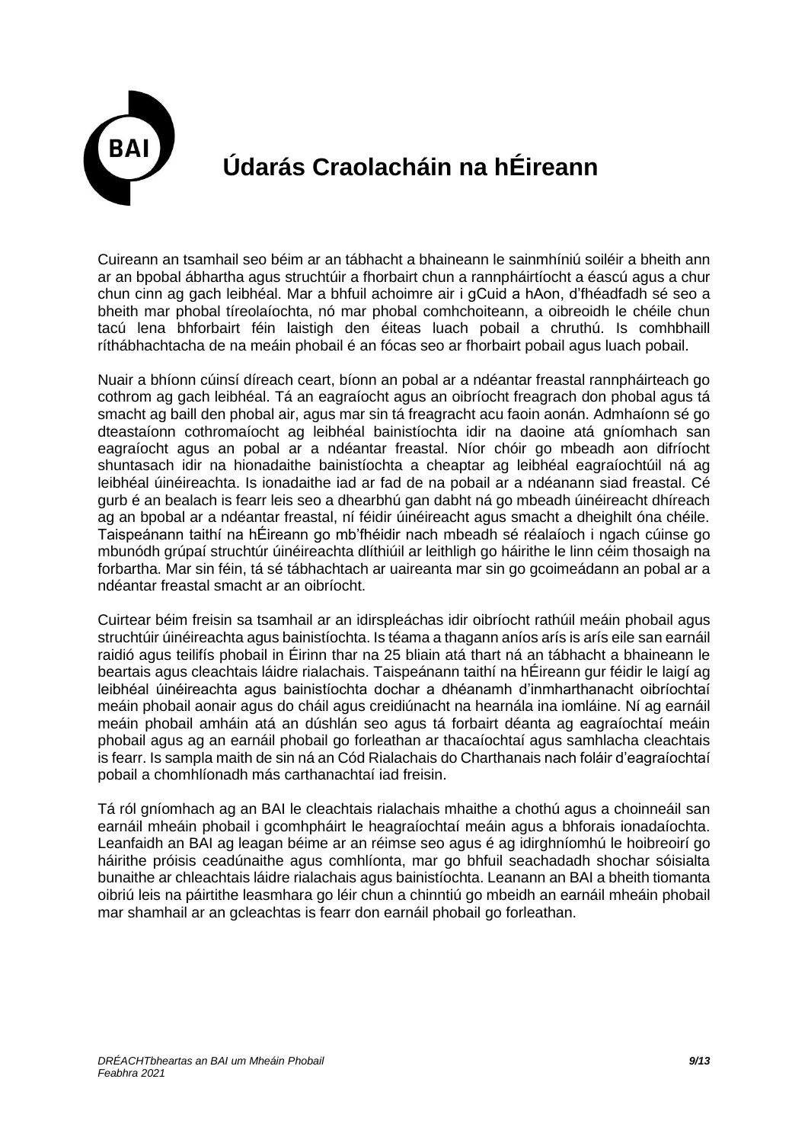

Cuireann an tsamhail seo béim ar an tábhacht a bhaineann le sainmhíniú soiléir a bheith ann ar an bpobal ábhartha agus struchtúir a fhorbairt chun a rannpháirtíocht a éascú agus a chur chun cinn ag gach leibhéal. Mar a bhfuil achoimre air i gCuid a hAon, d'fhéadfadh sé seo a bheith mar phobal tíreolaíochta, nó mar phobal comhchoiteann, a oibreoidh le chéile chun tacú lena bhforbairt féin laistigh den éiteas luach pobail a chruthú. Is comhbhaill ríthábhachtacha de na meáin phobail é an fócas seo ar fhorbairt pobail agus luach pobail.

Nuair a bhíonn cúinsí díreach ceart, bíonn an pobal ar a ndéantar freastal rannpháirteach go cothrom ag gach leibhéal. Tá an eagraíocht agus an oibríocht freagrach don phobal agus tá smacht ag baill den phobal air, agus mar sin tá freagracht acu faoin aonán. Admhaíonn sé go dteastaíonn cothromaíocht ag leibhéal bainistíochta idir na daoine atá gníomhach san eagraíocht agus an pobal ar a ndéantar freastal. Níor chóir go mbeadh aon difríocht shuntasach idir na hionadaithe bainistíochta a cheaptar ag leibhéal eagraíochtúil ná ag leibhéal úinéireachta. Is ionadaithe iad ar fad de na pobail ar a ndéanann siad freastal. Cé gurb é an bealach is fearr leis seo a dhearbhú gan dabht ná go mbeadh úinéireacht dhíreach ag an bpobal ar a ndéantar freastal, ní féidir úinéireacht agus smacht a dheighilt óna chéile. Taispeánann taithí na hÉireann go mb'fhéidir nach mbeadh sé réalaíoch i ngach cúinse go mbunódh grúpaí struchtúr úinéireachta dlíthiúil ar leithligh go háirithe le linn céim thosaigh na forbartha. Mar sin féin, tá sé tábhachtach ar uaireanta mar sin go gcoimeádann an pobal ar a ndéantar freastal smacht ar an oibríocht.

Cuirtear béim freisin sa tsamhail ar an idirspleáchas idir oibríocht rathúil meáin phobail agus struchtúir úinéireachta agus bainistíochta. Is téama a thagann aníos arís is arís eile san earnáil raidió agus teilifís phobail in Éirinn thar na 25 bliain atá thart ná an tábhacht a bhaineann le beartais agus cleachtais láidre rialachais. Taispeánann taithí na hÉireann gur féidir le laigí ag leibhéal úinéireachta agus bainistíochta dochar a dhéanamh d'inmharthanacht oibríochtaí meáin phobail aonair agus do cháil agus creidiúnacht na hearnála ina iomláine. Ní ag earnáil meáin phobail amháin atá an dúshlán seo agus tá forbairt déanta ag eagraíochtaí meáin phobail agus ag an earnáil phobail go forleathan ar thacaíochtaí agus samhlacha cleachtais is fearr. Is sampla maith de sin ná an Cód Rialachais do Charthanais nach foláir d'eagraíochtaí pobail a chomhlíonadh más carthanachtaí iad freisin.

Tá ról gníomhach ag an BAI le cleachtais rialachais mhaithe a chothú agus a choinneáil san earnáil mheáin phobail i gcomhpháirt le heagraíochtaí meáin agus a bhforais ionadaíochta. Leanfaidh an BAI ag leagan béime ar an réimse seo agus é ag idirghníomhú le hoibreoirí go háirithe próisis ceadúnaithe agus comhlíonta, mar go bhfuil seachadadh shochar sóisialta bunaithe ar chleachtais láidre rialachais agus bainistíochta. Leanann an BAI a bheith tiomanta oibriú leis na páirtithe leasmhara go léir chun a chinntiú go mbeidh an earnáil mheáin phobail mar shamhail ar an gcleachtas is fearr don earnáil phobail go forleathan.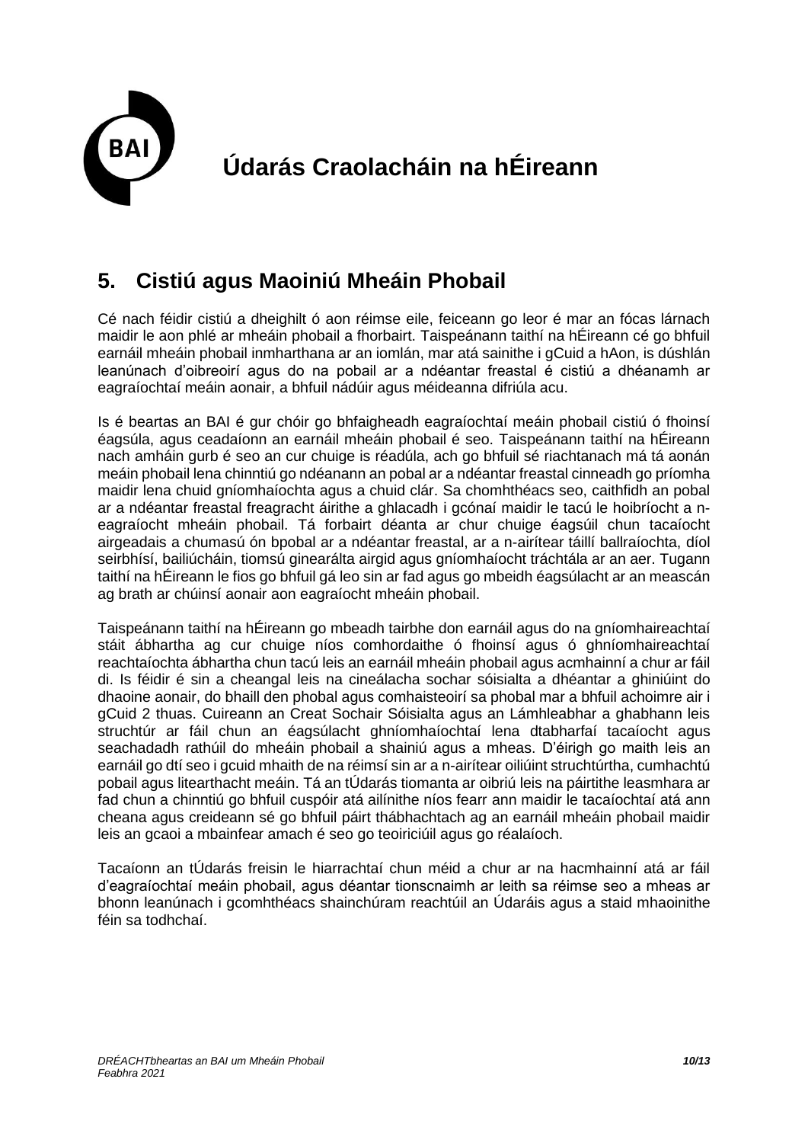

#### **5. Cistiú agus Maoiniú Mheáin Phobail**

Cé nach féidir cistiú a dheighilt ó aon réimse eile, feiceann go leor é mar an fócas lárnach maidir le aon phlé ar mheáin phobail a fhorbairt. Taispeánann taithí na hÉireann cé go bhfuil earnáil mheáin phobail inmharthana ar an iomlán, mar atá sainithe i gCuid a hAon, is dúshlán leanúnach d'oibreoirí agus do na pobail ar a ndéantar freastal é cistiú a dhéanamh ar eagraíochtaí meáin aonair, a bhfuil nádúir agus méideanna difriúla acu.

Is é beartas an BAI é gur chóir go bhfaigheadh eagraíochtaí meáin phobail cistiú ó fhoinsí éagsúla, agus ceadaíonn an earnáil mheáin phobail é seo. Taispeánann taithí na hÉireann nach amháin gurb é seo an cur chuige is réadúla, ach go bhfuil sé riachtanach má tá aonán meáin phobail lena chinntiú go ndéanann an pobal ar a ndéantar freastal cinneadh go príomha maidir lena chuid gníomhaíochta agus a chuid clár. Sa chomhthéacs seo, caithfidh an pobal ar a ndéantar freastal freagracht áirithe a ghlacadh i gcónaí maidir le tacú le hoibríocht a neagraíocht mheáin phobail. Tá forbairt déanta ar chur chuige éagsúil chun tacaíocht airgeadais a chumasú ón bpobal ar a ndéantar freastal, ar a n-airítear táillí ballraíochta, díol seirbhísí, bailiúcháin, tiomsú ginearálta airgid agus gníomhaíocht tráchtála ar an aer. Tugann taithí na hÉireann le fios go bhfuil gá leo sin ar fad agus go mbeidh éagsúlacht ar an meascán ag brath ar chúinsí aonair aon eagraíocht mheáin phobail.

Taispeánann taithí na hÉireann go mbeadh tairbhe don earnáil agus do na gníomhaireachtaí stáit ábhartha ag cur chuige níos comhordaithe ó fhoinsí agus ó ghníomhaireachtaí reachtaíochta ábhartha chun tacú leis an earnáil mheáin phobail agus acmhainní a chur ar fáil di. Is féidir é sin a cheangal leis na cineálacha sochar sóisialta a dhéantar a ghiniúint do dhaoine aonair, do bhaill den phobal agus comhaisteoirí sa phobal mar a bhfuil achoimre air i gCuid 2 thuas. Cuireann an Creat Sochair Sóisialta agus an Lámhleabhar a ghabhann leis struchtúr ar fáil chun an éagsúlacht ghníomhaíochtaí lena dtabharfaí tacaíocht agus seachadadh rathúil do mheáin phobail a shainiú agus a mheas. D'éirigh go maith leis an earnáil go dtí seo i gcuid mhaith de na réimsí sin ar a n-airítear oiliúint struchtúrtha, cumhachtú pobail agus litearthacht meáin. Tá an tÚdarás tiomanta ar oibriú leis na páirtithe leasmhara ar fad chun a chinntiú go bhfuil cuspóir atá ailínithe níos fearr ann maidir le tacaíochtaí atá ann cheana agus creideann sé go bhfuil páirt thábhachtach ag an earnáil mheáin phobail maidir leis an gcaoi a mbainfear amach é seo go teoiriciúil agus go réalaíoch.

Tacaíonn an tÚdarás freisin le hiarrachtaí chun méid a chur ar na hacmhainní atá ar fáil d'eagraíochtaí meáin phobail, agus déantar tionscnaimh ar leith sa réimse seo a mheas ar bhonn leanúnach i gcomhthéacs shainchúram reachtúil an Údaráis agus a staid mhaoinithe féin sa todhchaí.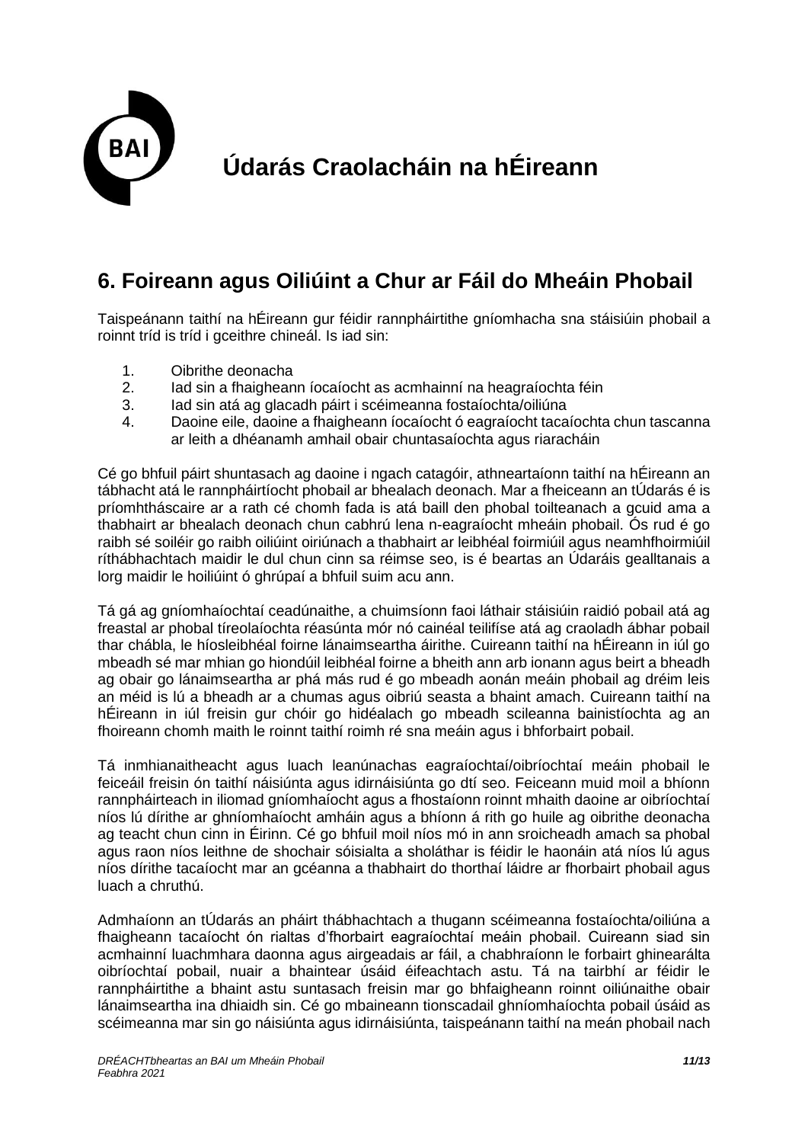

#### **6. Foireann agus Oiliúint a Chur ar Fáil do Mheáin Phobail**

Taispeánann taithí na hÉireann gur féidir rannpháirtithe gníomhacha sna stáisiúin phobail a roinnt tríd is tríd i gceithre chineál. Is iad sin:

- 1. Oibrithe deonacha
- 2. Iad sin a fhaigheann íocaíocht as acmhainní na heagraíochta féin
- 3. Iad sin atá ag glacadh páirt i scéimeanna fostaíochta/oiliúna
- 4. Daoine eile, daoine a fhaigheann íocaíocht ó eagraíocht tacaíochta chun tascanna ar leith a dhéanamh amhail obair chuntasaíochta agus riaracháin

Cé go bhfuil páirt shuntasach ag daoine i ngach catagóir, athneartaíonn taithí na hÉireann an tábhacht atá le rannpháirtíocht phobail ar bhealach deonach. Mar a fheiceann an tÚdarás é is príomhtháscaire ar a rath cé chomh fada is atá baill den phobal toilteanach a gcuid ama a thabhairt ar bhealach deonach chun cabhrú lena n-eagraíocht mheáin phobail. Ós rud é go raibh sé soiléir go raibh oiliúint oiriúnach a thabhairt ar leibhéal foirmiúil agus neamhfhoirmiúil ríthábhachtach maidir le dul chun cinn sa réimse seo, is é beartas an Údaráis gealltanais a lorg maidir le hoiliúint ó ghrúpaí a bhfuil suim acu ann.

Tá gá ag gníomhaíochtaí ceadúnaithe, a chuimsíonn faoi láthair stáisiúin raidió pobail atá ag freastal ar phobal tíreolaíochta réasúnta mór nó cainéal teilifíse atá ag craoladh ábhar pobail thar chábla, le híosleibhéal foirne lánaimseartha áirithe. Cuireann taithí na hÉireann in iúl go mbeadh sé mar mhian go hiondúil leibhéal foirne a bheith ann arb ionann agus beirt a bheadh ag obair go lánaimseartha ar phá más rud é go mbeadh aonán meáin phobail ag dréim leis an méid is lú a bheadh ar a chumas agus oibriú seasta a bhaint amach. Cuireann taithí na hÉireann in iúl freisin gur chóir go hidéalach go mbeadh scileanna bainistíochta ag an fhoireann chomh maith le roinnt taithí roimh ré sna meáin agus i bhforbairt pobail.

Tá inmhianaitheacht agus luach leanúnachas eagraíochtaí/oibríochtaí meáin phobail le feiceáil freisin ón taithí náisiúnta agus idirnáisiúnta go dtí seo. Feiceann muid moil a bhíonn rannpháirteach in iliomad gníomhaíocht agus a fhostaíonn roinnt mhaith daoine ar oibríochtaí níos lú dírithe ar ghníomhaíocht amháin agus a bhíonn á rith go huile ag oibrithe deonacha ag teacht chun cinn in Éirinn. Cé go bhfuil moil níos mó in ann sroicheadh amach sa phobal agus raon níos leithne de shochair sóisialta a sholáthar is féidir le haonáin atá níos lú agus níos dírithe tacaíocht mar an gcéanna a thabhairt do thorthaí láidre ar fhorbairt phobail agus luach a chruthú.

Admhaíonn an tÚdarás an pháirt thábhachtach a thugann scéimeanna fostaíochta/oiliúna a fhaigheann tacaíocht ón rialtas d'fhorbairt eagraíochtaí meáin phobail. Cuireann siad sin acmhainní luachmhara daonna agus airgeadais ar fáil, a chabhraíonn le forbairt ghinearálta oibríochtaí pobail, nuair a bhaintear úsáid éifeachtach astu. Tá na tairbhí ar féidir le rannpháirtithe a bhaint astu suntasach freisin mar go bhfaigheann roinnt oiliúnaithe obair lánaimseartha ina dhiaidh sin. Cé go mbaineann tionscadail ghníomhaíochta pobail úsáid as scéimeanna mar sin go náisiúnta agus idirnáisiúnta, taispeánann taithí na meán phobail nach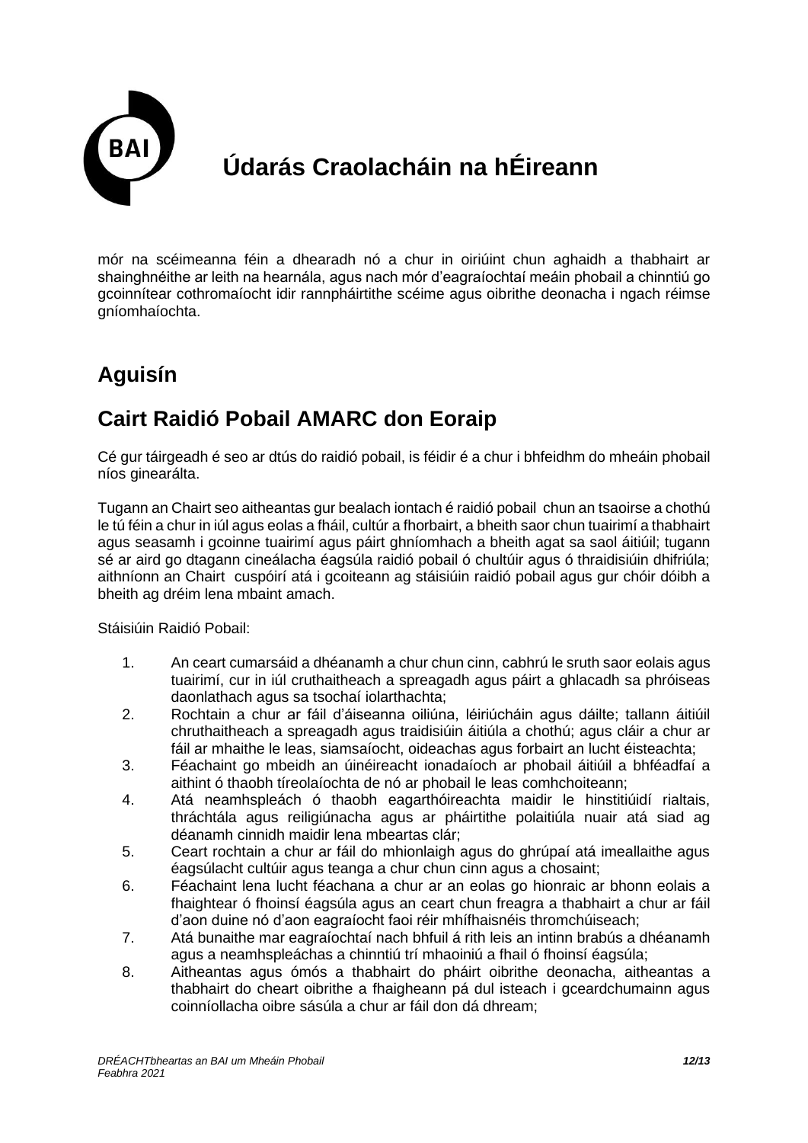

mór na scéimeanna féin a dhearadh nó a chur in oiriúint chun aghaidh a thabhairt ar shainghnéithe ar leith na hearnála, agus nach mór d'eagraíochtaí meáin phobail a chinntiú go gcoinnítear cothromaíocht idir rannpháirtithe scéime agus oibrithe deonacha i ngach réimse gníomhaíochta.

### **Aguisín**

#### **Cairt Raidió Pobail AMARC don Eoraip**

Cé gur táirgeadh é seo ar dtús do raidió pobail, is féidir é a chur i bhfeidhm do mheáin phobail níos ginearálta.

Tugann an Chairt seo aitheantas gur bealach iontach é raidió pobail chun an tsaoirse a chothú le tú féin a chur in iúl agus eolas a fháil, cultúr a fhorbairt, a bheith saor chun tuairimí a thabhairt agus seasamh i gcoinne tuairimí agus páirt ghníomhach a bheith agat sa saol áitiúil; tugann sé ar aird go dtagann cineálacha éagsúla raidió pobail ó chultúir agus ó thraidisiúin dhifriúla; aithníonn an Chairt cuspóirí atá i gcoiteann ag stáisiúin raidió pobail agus gur chóir dóibh a bheith ag dréim lena mbaint amach.

Stáisiúin Raidió Pobail:

- 1. An ceart cumarsáid a dhéanamh a chur chun cinn, cabhrú le sruth saor eolais agus tuairimí, cur in iúl cruthaitheach a spreagadh agus páirt a ghlacadh sa phróiseas daonlathach agus sa tsochaí iolarthachta;
- 2. Rochtain a chur ar fáil d'áiseanna oiliúna, léiriúcháin agus dáilte; tallann áitiúil chruthaitheach a spreagadh agus traidisiúin áitiúla a chothú; agus cláir a chur ar fáil ar mhaithe le leas, siamsaíocht, oideachas agus forbairt an lucht éisteachta;
- 3. Féachaint go mbeidh an úinéireacht ionadaíoch ar phobail áitiúil a bhféadfaí a aithint ó thaobh tíreolaíochta de nó ar phobail le leas comhchoiteann;
- 4. Atá neamhspleách ó thaobh eagarthóireachta maidir le hinstitiúidí rialtais, thráchtála agus reiligiúnacha agus ar pháirtithe polaitiúla nuair atá siad ag déanamh cinnidh maidir lena mbeartas clár;
- 5. Ceart rochtain a chur ar fáil do mhionlaigh agus do ghrúpaí atá imeallaithe agus éagsúlacht cultúir agus teanga a chur chun cinn agus a chosaint;
- 6. Féachaint lena lucht féachana a chur ar an eolas go hionraic ar bhonn eolais a fhaightear ó fhoinsí éagsúla agus an ceart chun freagra a thabhairt a chur ar fáil d'aon duine nó d'aon eagraíocht faoi réir mhífhaisnéis thromchúiseach;
- 7. Atá bunaithe mar eagraíochtaí nach bhfuil á rith leis an intinn brabús a dhéanamh agus a neamhspleáchas a chinntiú trí mhaoiniú a fhail ó fhoinsí éagsúla;
- 8. Aitheantas agus ómós a thabhairt do pháirt oibrithe deonacha, aitheantas a thabhairt do cheart oibrithe a fhaigheann pá dul isteach i gceardchumainn agus coinníollacha oibre sásúla a chur ar fáil don dá dhream;